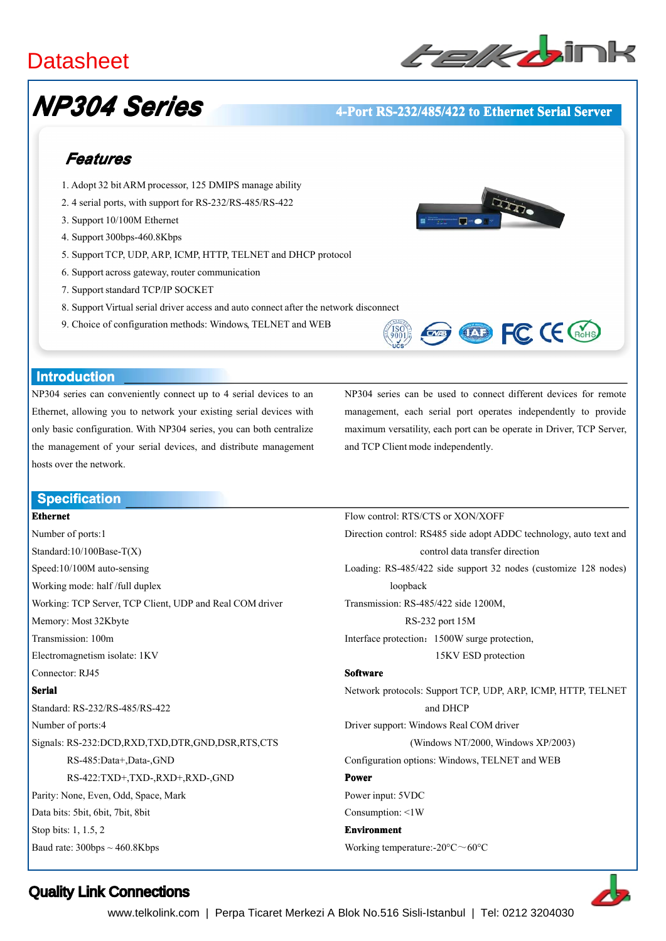# **Datasheet**



# *NP304 Series*

### **4-Port RS-232/485/422 RS-232/485/422 to Ethernet Serial Server**

# *Features*

- 1. Adopt 32 bitARM processor, 125 DMIPS manage ability
- 2. 4 serial ports, with suppor<sup>t</sup> for RS-232/RS-485/RS-422
- 3. Support 10/100M Ethernet
- 4. Support 300bps-460.8Kbps
- 5. Support TCP, UDP, ARP, ICMP, HTTP, TELNET and DHCP protocol
- 6. Support across gateway, router communication
- 7. Support standard TCP/IP SOCKET
- 8. Support Virtual serial driver access and auto connect after the network disconnect
- 9. Choice of configuration methods: Windows, TELNET and WEB





### **Introduction Introduction**

NP304 series can conveniently connect up to 4 serial devices to an Ethernet, allowing you to network your existing serial devices with only basic configuration. With NP304 series, you can both centralize the managemen<sup>t</sup> of your serial devices, and distribute managemen<sup>t</sup> hosts over the network.

NP304 series can be used to connect different devices for remote management, each serial por<sup>t</sup> operates independently to provide maximum versatility, each por<sup>t</sup> can be operate in Driver, TCP Server, and TCP Client mode independently.

Flow control: RTS/CTS or XON/XOFF

### **Specification Specification**

### **Ethernet**

Number of ports:1 Standard:10/100Base-T(X) Speed:10/100M auto-sensing Working mode: half /full duplex Working: TCP Server, TCP Client, UDP and Real COM driver Memory: Most 32Kbyte Transmission: 100m Electromagnetism isolate: 1KV Connector: RJ45 **Serial** Standard: RS-232/RS-485/RS-422 Number of ports:4 Signals: RS-232:DCD,RXD,TXD,DTR,GND,DSR,RTS,CTS RS-485:Data+,Data-,GND RS-422:TXD+,TXD-,RXD+,RXD-,GND Parity: None, Even, Odd, Space, Mark Data bits: 5bit, 6bit, 7bit, 8bit Stop bits: 1, 1.5, 2 Baud rate:  $300bps \sim 460.8Kbps$ 

Direction control: RS485 side adopt ADDC technology, auto text and control data transfer direction Loading: RS-485/422 side suppor<sup>t</sup> 32 nodes (customize 128 nodes) loopback Transmission: RS-485/422 side 1200M, RS-232 por<sup>t</sup> 15M Interface protection:1500W surge protection, 15KV ESD protection **Software Software** Network protocols: Support TCP, UDP, ARP, ICMP, HTTP, TELNET and DHCP Driver support: Windows Real COM driver (Windows NT/2000, Windows XP/2003) Configuration options: Windows, TELNET and WEB **Power** Power input: 5VDC Consumption: <1W **Environment Environment** Working temperature:-20°C~60°C

Quality Link Connections